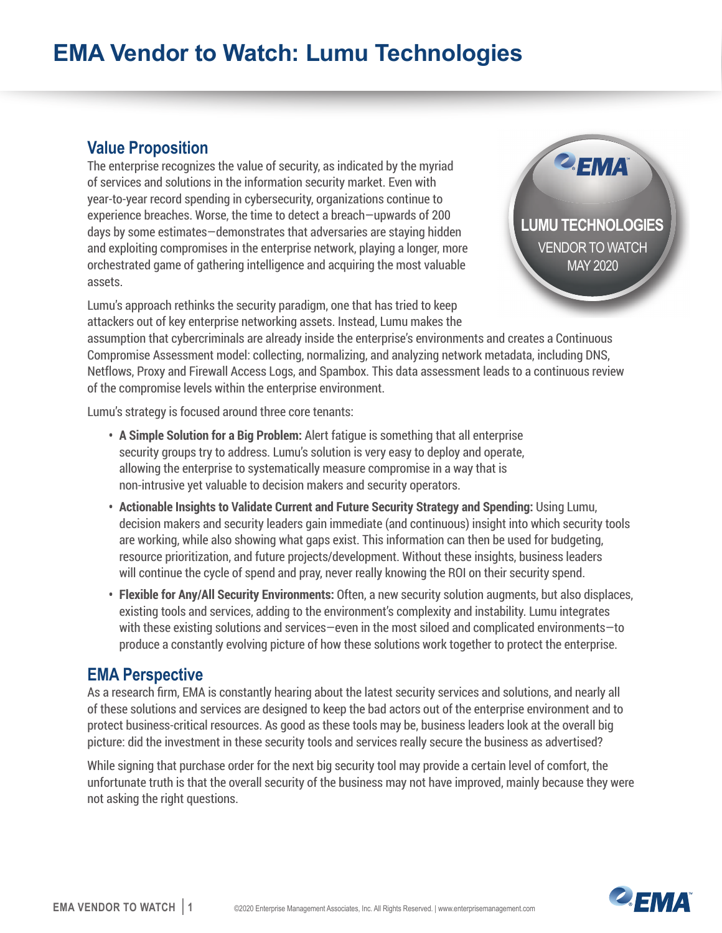## **EMA Vendor to Watch: Lumu Technologies**

## **Value Proposition**

The enterprise recognizes the value of security, as indicated by the myriad of services and solutions in the information security market. Even with year-to-year record spending in cybersecurity, organizations continue to experience breaches. Worse, the time to detect a breach—upwards of 200 days by some estimates—demonstrates that adversaries are staying hidden and exploiting compromises in the enterprise network, playing a longer, more orchestrated game of gathering intelligence and acquiring the most valuable assets.



Lumu's approach rethinks the security paradigm, one that has tried to keep attackers out of key enterprise networking assets. Instead, Lumu makes the

assumption that cybercriminals are already inside the enterprise's environments and creates a Continuous Compromise Assessment model: collecting, normalizing, and analyzing network metadata, including DNS, Netflows, Proxy and Firewall Access Logs, and Spambox. This data assessment leads to a continuous review of the compromise levels within the enterprise environment.

Lumu's strategy is focused around three core tenants:

- **• A Simple Solution for a Big Problem:** Alert fatigue is something that all enterprise security groups try to address. Lumu's solution is very easy to deploy and operate, allowing the enterprise to systematically measure compromise in a way that is non-intrusive yet valuable to decision makers and security operators.
- **• Actionable Insights to Validate Current and Future Security Strategy and Spending:** Using Lumu, decision makers and security leaders gain immediate (and continuous) insight into which security tools are working, while also showing what gaps exist. This information can then be used for budgeting, resource prioritization, and future projects/development. Without these insights, business leaders will continue the cycle of spend and pray, never really knowing the ROI on their security spend.
- **• Flexible for Any/All Security Environments:** Often, a new security solution augments, but also displaces, existing tools and services, adding to the environment's complexity and instability. Lumu integrates with these existing solutions and services—even in the most siloed and complicated environments—to produce a constantly evolving picture of how these solutions work together to protect the enterprise.

## **EMA Perspective**

As a research firm, EMA is constantly hearing about the latest security services and solutions, and nearly all of these solutions and services are designed to keep the bad actors out of the enterprise environment and to protect business-critical resources. As good as these tools may be, business leaders look at the overall big picture: did the investment in these security tools and services really secure the business as advertised?

While signing that purchase order for the next big security tool may provide a certain level of comfort, the unfortunate truth is that the overall security of the business may not have improved, mainly because they were not asking the right questions.